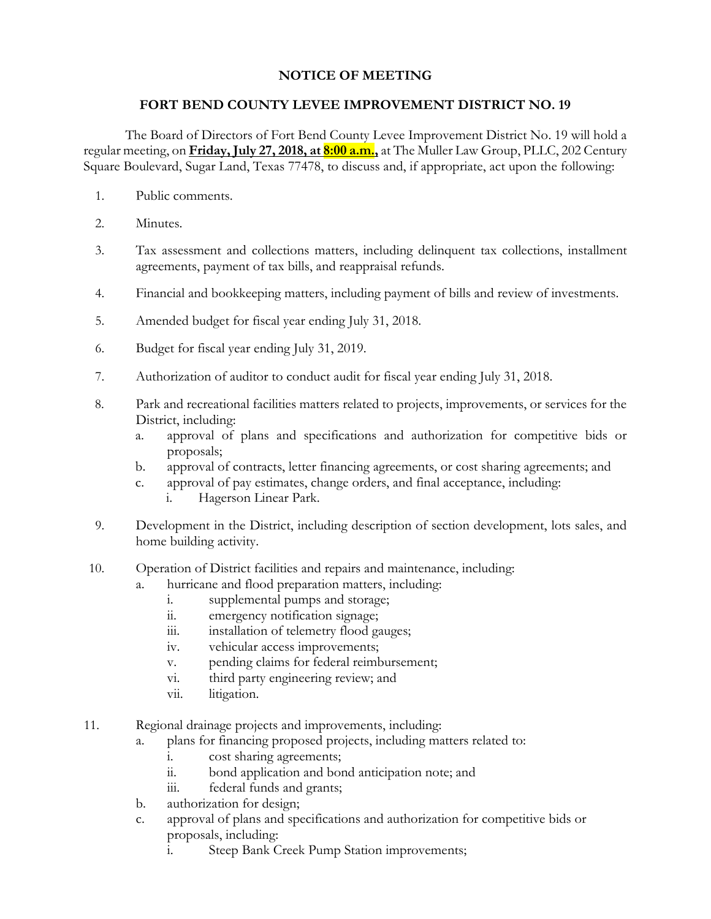## **NOTICE OF MEETING**

## **FORT BEND COUNTY LEVEE IMPROVEMENT DISTRICT NO. 19**

The Board of Directors of Fort Bend County Levee Improvement District No. 19 will hold a regular meeting, on **Friday, July 27, 2018, at 8:00 a.m.,** at The Muller Law Group, PLLC, 202 Century Square Boulevard, Sugar Land, Texas 77478, to discuss and, if appropriate, act upon the following:

- 1. Public comments.
- 2. Minutes.
- 3. Tax assessment and collections matters, including delinquent tax collections, installment agreements, payment of tax bills, and reappraisal refunds.
- 4. Financial and bookkeeping matters, including payment of bills and review of investments.
- 5. Amended budget for fiscal year ending July 31, 2018.
- 6. Budget for fiscal year ending July 31, 2019.
- 7. Authorization of auditor to conduct audit for fiscal year ending July 31, 2018.
- 8. Park and recreational facilities matters related to projects, improvements, or services for the District, including:
	- a. approval of plans and specifications and authorization for competitive bids or proposals;
	- b. approval of contracts, letter financing agreements, or cost sharing agreements; and
	- c. approval of pay estimates, change orders, and final acceptance, including:
		- i. Hagerson Linear Park.
- 9. Development in the District, including description of section development, lots sales, and home building activity.
- 10. Operation of District facilities and repairs and maintenance, including:
	- a. hurricane and flood preparation matters, including:
		- i. supplemental pumps and storage;
		- ii. emergency notification signage;
		- iii. installation of telemetry flood gauges;
		- iv. vehicular access improvements;
		- v. pending claims for federal reimbursement;
		- vi. third party engineering review; and
		- vii. litigation.
- 11. Regional drainage projects and improvements, including:
	- a. plans for financing proposed projects, including matters related to:
		- i. cost sharing agreements;
		- ii. bond application and bond anticipation note; and
		- iii. federal funds and grants;
	- b. authorization for design;
	- c. approval of plans and specifications and authorization for competitive bids or proposals, including:
		- i. Steep Bank Creek Pump Station improvements;